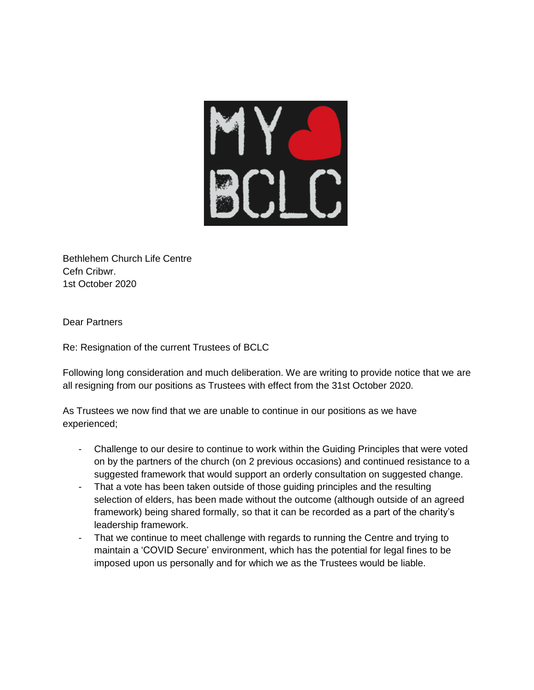

Bethlehem Church Life Centre Cefn Cribwr. 1st October 2020

Dear Partners

Re: Resignation of the current Trustees of BCLC

Following long consideration and much deliberation. We are writing to provide notice that we are all resigning from our positions as Trustees with effect from the 31st October 2020.

As Trustees we now find that we are unable to continue in our positions as we have experienced;

- Challenge to our desire to continue to work within the Guiding Principles that were voted on by the partners of the church (on 2 previous occasions) and continued resistance to a suggested framework that would support an orderly consultation on suggested change.
- That a vote has been taken outside of those guiding principles and the resulting selection of elders, has been made without the outcome (although outside of an agreed framework) being shared formally, so that it can be recorded as a part of the charity's leadership framework.
- That we continue to meet challenge with regards to running the Centre and trying to maintain a 'COVID Secure' environment, which has the potential for legal fines to be imposed upon us personally and for which we as the Trustees would be liable.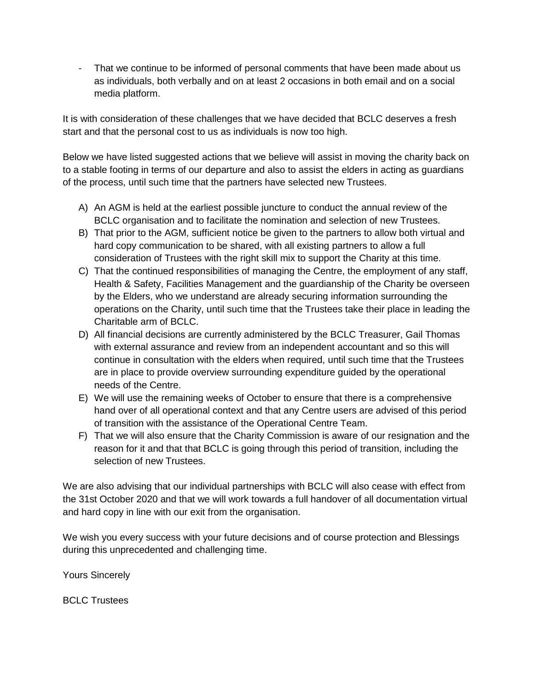- That we continue to be informed of personal comments that have been made about us as individuals, both verbally and on at least 2 occasions in both email and on a social media platform.

It is with consideration of these challenges that we have decided that BCLC deserves a fresh start and that the personal cost to us as individuals is now too high.

Below we have listed suggested actions that we believe will assist in moving the charity back on to a stable footing in terms of our departure and also to assist the elders in acting as guardians of the process, until such time that the partners have selected new Trustees.

- A) An AGM is held at the earliest possible juncture to conduct the annual review of the BCLC organisation and to facilitate the nomination and selection of new Trustees.
- B) That prior to the AGM, sufficient notice be given to the partners to allow both virtual and hard copy communication to be shared, with all existing partners to allow a full consideration of Trustees with the right skill mix to support the Charity at this time.
- C) That the continued responsibilities of managing the Centre, the employment of any staff, Health & Safety, Facilities Management and the guardianship of the Charity be overseen by the Elders, who we understand are already securing information surrounding the operations on the Charity, until such time that the Trustees take their place in leading the Charitable arm of BCLC.
- D) All financial decisions are currently administered by the BCLC Treasurer, Gail Thomas with external assurance and review from an independent accountant and so this will continue in consultation with the elders when required, until such time that the Trustees are in place to provide overview surrounding expenditure guided by the operational needs of the Centre.
- E) We will use the remaining weeks of October to ensure that there is a comprehensive hand over of all operational context and that any Centre users are advised of this period of transition with the assistance of the Operational Centre Team.
- F) That we will also ensure that the Charity Commission is aware of our resignation and the reason for it and that that BCLC is going through this period of transition, including the selection of new Trustees.

We are also advising that our individual partnerships with BCLC will also cease with effect from the 31st October 2020 and that we will work towards a full handover of all documentation virtual and hard copy in line with our exit from the organisation.

We wish you every success with your future decisions and of course protection and Blessings during this unprecedented and challenging time.

Yours Sincerely

BCLC Trustees